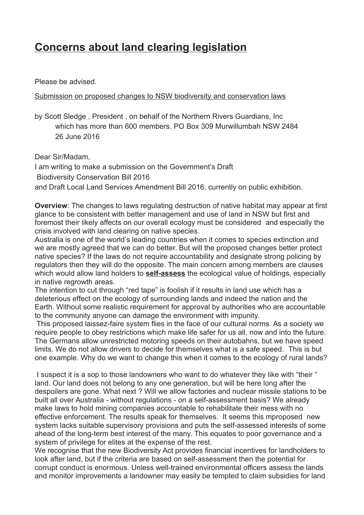## **Concerns about land clearing legislation**

Please be advised.

Submission on proposed changes to NSW biodiversity and conservation laws

by Scott Sledge , President , on behalf of the Northern Rivers Guardians, Inc which has more than 600 members. PO Box 309 Murwillumbah NSW 2484 26 June 2016

Dear Sir/Madam,

I am writing to make a submission on the Government's Draft

Biodiversity Conservation Bill 2016

and Draft Local Land Services Amendment Bill 2016, currently on public exhibition.

**Overview**: The changes to laws regulating destruction of native habitat may appear at first glance to be consistent with better management and use of land in NSW but first and foremost their likely affects on our overall ecology must be considered and especially the crisis involved with land clearing on native species.

Australia is one of the world's leading countries when it comes to species extinction and we are mostly agreed that we can do better. But will the proposed changes better protect native species? If the laws do not require accountability and designate strong policing by regulators then they will do the opposite. The main concern among members are clauses which would allow land holders to **self-assess** the ecological value of holdings, especially in native regrowth areas.

The intention to cut through "red tape" is foolish if it results in land use which has a deleterious effect on the ecology of surrounding lands and indeed the nation and the Earth. Without some realistic requirement for approval by authorities who are accountable to the community anyone can damage the environment with impunity.

This proposed laissez-faire system flies in the face of our cultural norms. As a society we require people to obey restrictions which make life safer for us all, now and into the future. The Germans allow unrestricted motoring speeds on their autobahns, but we have speed limits. We do not allow drivers to decide for themselves what is a safe speed. This is but one example. Why do we want to change this when it comes to the ecology of rural lands?

I suspect it is a sop to those landowners who want to do whatever they like with "their " land. Our land does not belong to any one generation, but will be here long after the despoilers are gone. What next ? Will we allow factories and nuclear missile stations to be built all over Australia - without regulations - on a self-assessment basis? We already make laws to hold mining companies accountable to rehabilitate their mess with no effective enforcement. The results speak for themselves. It seems this mproposed new system lacks suitable supervisory provisions and puts the self-assessed interests of some ahead of the long-term best interest of the many. This equates to poor governance and a system of privilege for elites at the expense of the rest.

We recognise that the new Biodiversity Act provides financial incentives for landholders to look after land, but if the criteria are based on self-assessment then the potential for corrupt conduct is enormous. Unless well-trained environmental officers assess the lands and monitor improvements a landowner may easily be tempted to claim subsidies for land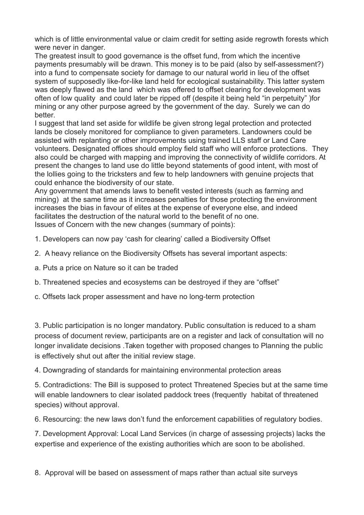which is of little environmental value or claim credit for setting aside regrowth forests which were never in danger.

The greatest insult to good governance is the offset fund, from which the incentive payments presumably will be drawn. This money is to be paid (also by self-assessment?) into a fund to compensate society for damage to our natural world in lieu of the offset system of supposedly like-for-like land held for ecological sustainability. This latter system was deeply flawed as the land which was offered to offset clearing for development was often of low quality and could later be ripped off (despite it being held "in perpetuity" )for mining or any other purpose agreed by the government of the day. Surely we can do better.

I suggest that land set aside for wildlife be given strong legal protection and protected lands be closely monitored for compliance to given parameters. Landowners could be assisted with replanting or other improvements using trained LLS staff or Land Care volunteers. Designated offices should employ field staff who will enforce protections. They also could be charged with mapping and improving the connectivity of wildlife corridors. At present the changes to land use do little beyond statements of good intent, with most of the lollies going to the tricksters and few to help landowners with genuine projects that could enhance the biodiversity of our state.

Any government that amends laws to benefit vested interests (such as farming and mining) at the same time as it increases penalties for those protecting the environment increases the bias in favour of elites at the expense of everyone else, and indeed facilitates the destruction of the natural world to the benefit of no one. Issues of Concern with the new changes (summary of points):

- 1. Developers can now pay 'cash for clearing' called a Biodiversity Offset
- 2. A heavy reliance on the Biodiversity Offsets has several important aspects:
- a. Puts a price on Nature so it can be traded
- b. Threatened species and ecosystems can be destroyed if they are "offset"
- c. Offsets lack proper assessment and have no long-term protection

3. Public participation is no longer mandatory. Public consultation is reduced to a sham process of document review, participants are on a register and lack of consultation will no longer invalidate decisions .Taken together with proposed changes to Planning the public is effectively shut out after the initial review stage.

4. Downgrading of standards for maintaining environmental protection areas

5. Contradictions: The Bill is supposed to protect Threatened Species but at the same time will enable landowners to clear isolated paddock trees (frequently habitat of threatened species) without approval.

6. Resourcing: the new laws don't fund the enforcement capabilities of regulatory bodies.

7. Development Approval: Local Land Services (in charge of assessing projects) lacks the expertise and experience of the existing authorities which are soon to be abolished.

8. Approval will be based on assessment of maps rather than actual site surveys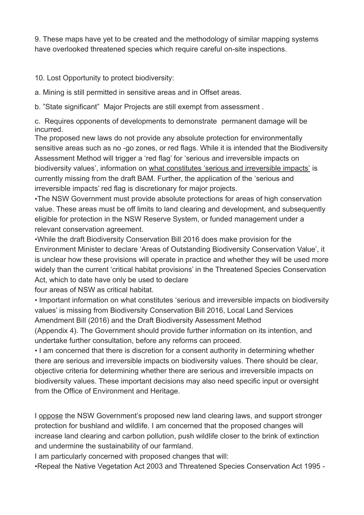9. These maps have yet to be created and the methodology of similar mapping systems have overlooked threatened species which require careful on-site inspections.

10. Lost Opportunity to protect biodiversity:

a. Mining is still permitted in sensitive areas and in Offset areas.

b. "State significant" Major Projects are still exempt from assessment .

c. Requires opponents of developments to demonstrate permanent damage will be incurred.

The proposed new laws do not provide any absolute protection for environmentally sensitive areas such as no -go zones, or red flags. While it is intended that the Biodiversity Assessment Method will trigger a 'red flag' for 'serious and irreversible impacts on biodiversity values', information on what constitutes 'serious and irreversible impacts' is currently missing from the draft BAM. Further, the application of the 'serious and irreversible impacts' red flag is discretionary for major projects.

•The NSW Government must provide absolute protections for areas of high conservation value. These areas must be off limits to land clearing and development, and subsequently eligible for protection in the NSW Reserve System, or funded management under a relevant conservation agreement.

•While the draft Biodiversity Conservation Bill 2016 does make provision for the Environment Minister to declare 'Areas of Outstanding Biodiversity Conservation Value', it is unclear how these provisions will operate in practice and whether they will be used more widely than the current 'critical habitat provisions' in the Threatened Species Conservation Act, which to date have only be used to declare

four areas of NSW as critical habitat.

• Important information on what constitutes 'serious and irreversible impacts on biodiversity values' is missing from Biodiversity Conservation Bill 2016, Local Land Services Amendment Bill (2016) and the Draft Biodiversity Assessment Method

(Appendix 4). The Government should provide further information on its intention, and undertake further consultation, before any reforms can proceed.

• I am concerned that there is discretion for a consent authority in determining whether there are serious and irreversible impacts on biodiversity values. There should be clear, objective criteria for determining whether there are serious and irreversible impacts on biodiversity values. These important decisions may also need specific input or oversight from the Office of Environment and Heritage.

I oppose the NSW Government's proposed new land clearing laws, and support stronger protection for bushland and wildlife. I am concerned that the proposed changes will increase land clearing and carbon pollution, push wildlife closer to the brink of extinction and undermine the sustainability of our farmland.

I am particularly concerned with proposed changes that will:

•Repeal the Native Vegetation Act 2003 and Threatened Species Conservation Act 1995 -